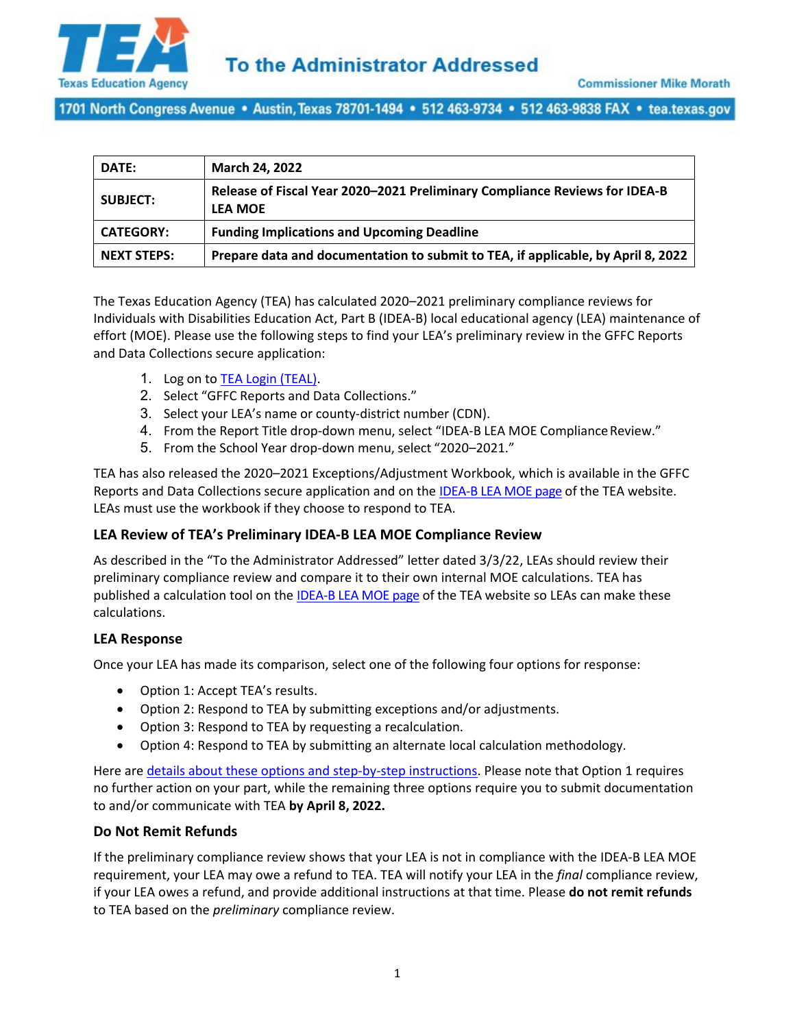

1701 North Congress Avenue • Austin, Texas 78701-1494 • 512 463-9734 • 512 463-9838 FAX • tea.texas.gov

| DATE:              | March 24, 2022                                                                               |
|--------------------|----------------------------------------------------------------------------------------------|
| <b>SUBJECT:</b>    | Release of Fiscal Year 2020-2021 Preliminary Compliance Reviews for IDEA-B<br><b>LEA MOE</b> |
| <b>CATEGORY:</b>   | <b>Funding Implications and Upcoming Deadline</b>                                            |
| <b>NEXT STEPS:</b> | Prepare data and documentation to submit to TEA, if applicable, by April 8, 2022             |

The Texas Education Agency (TEA) has calculated 2020–2021 preliminary compliance reviews for Individuals with Disabilities Education Act, Part B (IDEA-B) local educational agency (LEA) maintenance of effort (MOE). Please use the following steps to find your LEA's preliminary review in the GFFC Reports and Data Collections secure application:

- 1. Log on to **TEA Login (TEAL)**.
- 2. Select "GFFC Reports and Data Collections."
- 3. Select your LEA's name or county-district number (CDN).
- 4. From the Report Title drop-down menu, select "IDEA-B LEA MOE Compliance Review."
- 5. From the School Year drop-down menu, select "2020–2021."

TEA has also released the 2020–2021 Exceptions/Adjustment Workbook, which is available in the GFFC Reports and Data Collections secure application and on the [IDEA-B LEA MOE page](https://tea.texas.gov/finance-and-grants/grants/federal-fiscal-compliance-and-reporting/idea-fiscal-compliance/idea-b-lea-maintenance-of-effort) of the TEA website. LEAs must use the workbook if they choose to respond to TEA.

## **LEA Review of TEA's Preliminary IDEA-B LEA MOE Compliance Review**

As described in the "To the Administrator Addressed" letter dated 3/3/22, LEAs should review their preliminary compliance review and compare it to their own internal MOE calculations. TEA has published a calculation tool on the [IDEA-B LEA MOE page](https://tea.texas.gov/finance-and-grants/grants/federal-fiscal-compliance-and-reporting/idea-fiscal-compliance/idea-b-lea-maintenance-of-effort) of the TEA website so LEAs can make these calculations.

#### **LEA Response**

Once your LEA has made its comparison, select one of the following four options for response:

- Option 1: Accept TEA's results.
- Option 2: Respond to TEA by submitting exceptions and/or adjustments.
- Option 3: Respond to TEA by requesting a recalculation.
- Option 4: Respond to TEA by submitting an alternate local calculation methodology.

Here are details about these options [and step-by-step instructions.](https://tea.texas.gov/sites/default/files/idea-b-lea-moe-options-document.pdf) Please note that Option 1 requires no further action on your part, while the remaining three options require you to submit documentation to and/or communicate with TEA **by April 8, 2022.**

## **Do Not Remit Refunds**

If the preliminary compliance review shows that your LEA is not in compliance with the IDEA-B LEA MOE requirement, your LEA may owe a refund to TEA. TEA will notify your LEA in the *final* compliance review, if your LEA owes a refund, and provide additional instructions at that time. Please **do not remit refunds** to TEA based on the *preliminary* compliance review.